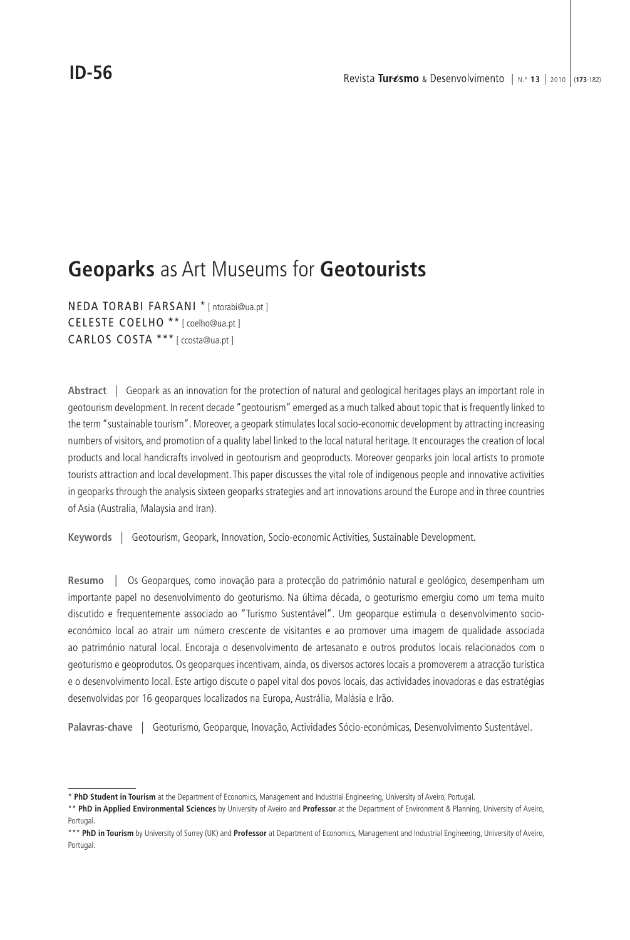# **Geoparks** as Art Museums for **Geotourists**

NEDA TORABI FARSANI \* [ ntorabi@ua.pt ] CELESTE COELHO \*\* [ coelho@ua.pt ] CARLOS COSTA \*\*\* [ ccosta@ua.pt ]

**Abstract** | Geopark as an innovation for the protection of natural and geological heritages plays an important role in geotourism development. In recent decade "geotourism" emerged as a much talked about topic that is frequently linked to the term "sustainable tourism". Moreover, a geopark stimulates local socio-economic development by attracting increasing numbers of visitors, and promotion of a quality label linked to the local natural heritage. It encourages the creation of local products and local handicrafts involved in geotourism and geoproducts. Moreover geoparks join local artists to promote tourists attraction and local development. This paper discusses the vital role of indigenous people and innovative activities in geoparks through the analysis sixteen geoparks strategies and art innovations around the Europe and in three countries of Asia (Australia, Malaysia and Iran).

**Keywords** | Geotourism, Geopark, Innovation, Socio-economic Activities, Sustainable Development.

**Resumo** | Os Geoparques, como inovação para a protecção do património natural e geológico, desempenham um importante papel no desenvolvimento do geoturismo. Na última década, o geoturismo emergiu como um tema muito discutido e frequentemente associado ao "Turismo Sustentável". Um geoparque estimula o desenvolvimento socioeconómico local ao atrair um número crescente de visitantes e ao promover uma imagem de qualidade associada ao património natural local. Encoraja o desenvolvimento de artesanato e outros produtos locais relacionados com o geoturismo e geoprodutos. Os geoparques incentivam, ainda, os diversos actores locais a promoverem a atracção turística e o desenvolvimento local. Este artigo discute o papel vital dos povos locais, das actividades inovadoras e das estratégias desenvolvidas por 16 geoparques localizados na Europa, Austrália, Malásia e Irão.

**Palavras-chave** | Geoturismo, Geoparque, Inovação, Actividades Sócio-económicas, Desenvolvimento Sustentável.

<sup>\*</sup> **PhD Student in Tourism** at the Department of Economics, Management and Industrial Engineering, University of Aveiro, Portugal.

<sup>\*\*</sup> **PhD in Applied Environmental Sciences** by University of Aveiro and **Professor** at the Department of Environment & Planning, University of Aveiro, Portugal.

<sup>\*\*\*</sup> **PhD in Tourism** by University of Surrey (UK) and **Professor** at Department of Economics, Management and Industrial Engineering, University of Aveiro, Portugal.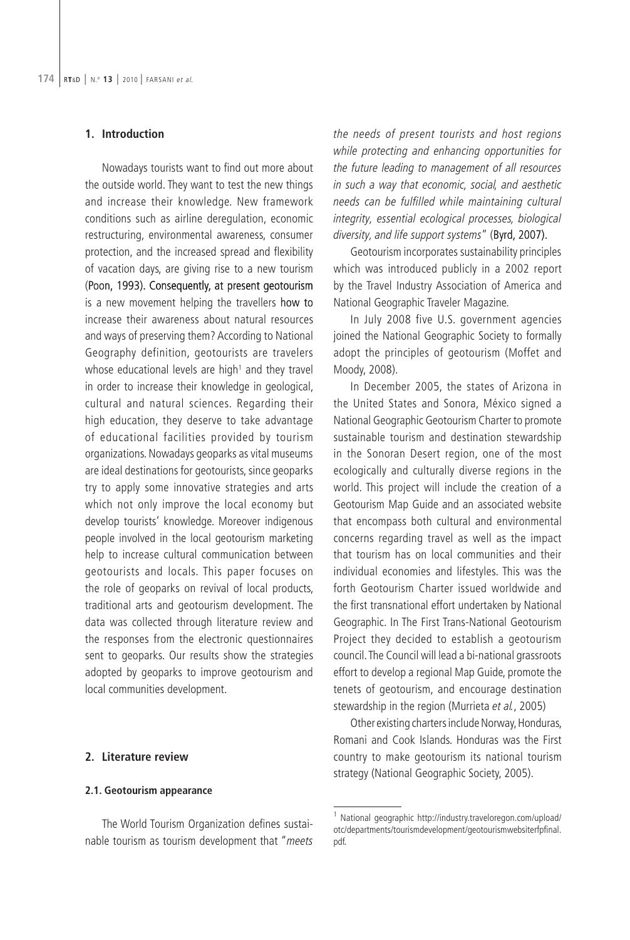### **1. Introduction**

Nowadays tourists want to find out more about the outside world. They want to test the new things and increase their knowledge. New framework conditions such as airline deregulation, economic restructuring, environmental awareness, consumer protection, and the increased spread and flexibility of vacation days, are giving rise to a new tourism (Poon, 1993). Consequently, at present geotourism is a new movement helping the travellers how to increase their awareness about natural resources and ways of preserving them? According to National Geography definition, geotourists are travelers whose educational levels are high $1$  and they travel in order to increase their knowledge in geological, cultural and natural sciences. Regarding their high education, they deserve to take advantage of educational facilities provided by tourism organizations. Nowadays geoparks as vital museums are ideal destinations for geotourists, since geoparks try to apply some innovative strategies and arts which not only improve the local economy but develop tourists' knowledge. Moreover indigenous people involved in the local geotourism marketing help to increase cultural communication between geotourists and locals. This paper focuses on the role of geoparks on revival of local products, traditional arts and geotourism development. The data was collected through literature review and the responses from the electronic questionnaires sent to geoparks. Our results show the strategies adopted by geoparks to improve geotourism and local communities development.

### **2. Literature review**

#### **2.1. Geotourism appearance**

The World Tourism Organization defines sustainable tourism as tourism development that "meets

the needs of present tourists and host regions while protecting and enhancing opportunities for the future leading to management of all resources in such a way that economic, social, and aesthetic needs can be fulfilled while maintaining cultural integrity, essential ecological processes, biological diversity, and life support systems" (Byrd, 2007).

Geotourism incorporates sustainability principles which was introduced publicly in a 2002 report by the Travel Industry Association of America and National Geographic Traveler Magazine.

In July 2008 five U.S. government agencies joined the National Geographic Society to formally adopt the principles of geotourism (Moffet and Moody, 2008).

In December 2005, the states of Arizona in the United States and Sonora, México signed a National Geographic Geotourism Charter to promote sustainable tourism and destination stewardship in the Sonoran Desert region, one of the most ecologically and culturally diverse regions in the world. This project will include the creation of a Geotourism Map Guide and an associated website that encompass both cultural and environmental concerns regarding travel as well as the impact that tourism has on local communities and their individual economies and lifestyles. This was the forth Geotourism Charter issued worldwide and the first transnational effort undertaken by National Geographic. In The First Trans-National Geotourism Project they decided to establish a geotourism council. The Council will lead a bi-national grassroots effort to develop a regional Map Guide, promote the tenets of geotourism, and encourage destination stewardship in the region (Murrieta et al., 2005)

Other existing charters include Norway, Honduras, Romani and Cook Islands. Honduras was the First country to make geotourism its national tourism strategy (National Geographic Society, 2005).

<sup>&</sup>lt;sup>1</sup> National geographic http://industry.traveloregon.com/upload/ otc/departments/tourismdevelopment/geotourismwebsiterfpfinal. pdf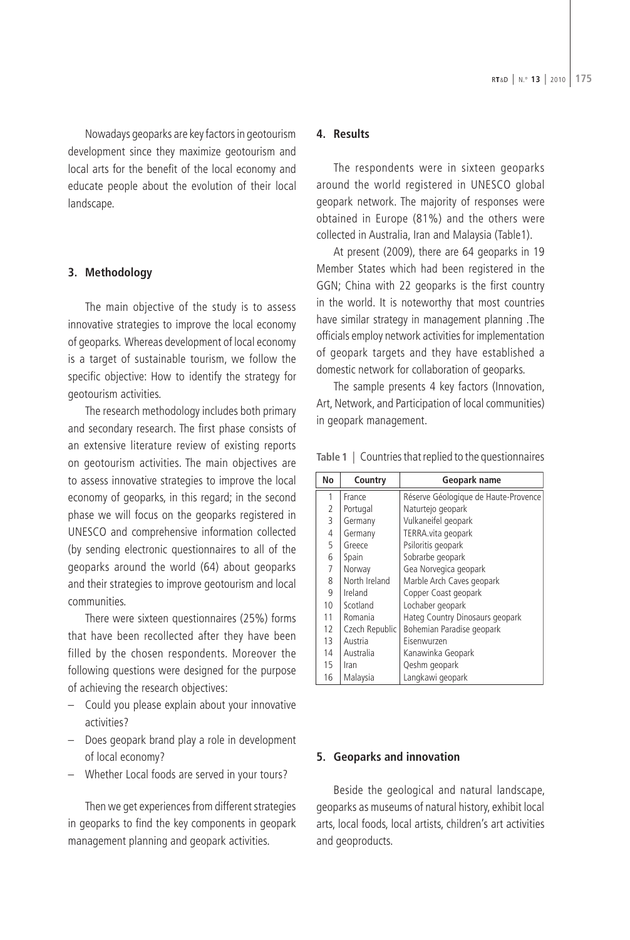Nowadays geoparks are key factors in geotourism development since they maximize geotourism and local arts for the benefit of the local economy and educate people about the evolution of their local landscape.

# **3. Methodology**

The main objective of the study is to assess innovative strategies to improve the local economy of geoparks. Whereas development of local economy is a target of sustainable tourism, we follow the specific objective: How to identify the strategy for geotourism activities.

The research methodology includes both primary and secondary research. The first phase consists of an extensive literature review of existing reports on geotourism activities. The main objectives are to assess innovative strategies to improve the local economy of geoparks, in this regard; in the second phase we will focus on the geoparks registered in UNESCO and comprehensive information collected (by sending electronic questionnaires to all of the geoparks around the world (64) about geoparks and their strategies to improve geotourism and local communities.

There were sixteen questionnaires (25%) forms that have been recollected after they have been filled by the chosen respondents. Moreover the following questions were designed for the purpose of achieving the research objectives:

- Could you please explain about your innovative activities?
- Does geopark brand play a role in development of local economy?
- Whether Local foods are served in your tours?

Then we get experiences from different strategies in geoparks to find the key components in geopark management planning and geopark activities.

#### **4. Results**

The respondents were in sixteen geoparks around the world registered in UNESCO global geopark network. The majority of responses were obtained in Europe (81%) and the others were collected in Australia, Iran and Malaysia (Table1).

At present (2009), there are 64 geoparks in 19 Member States which had been registered in the GGN; China with 22 geoparks is the first country in the world. It is noteworthy that most countries have similar strategy in management planning .The officials employ network activities for implementation of geopark targets and they have established a domestic network for collaboration of geoparks.

The sample presents 4 key factors (Innovation, Art, Network, and Participation of local communities) in geopark management.

| No | Country        | Geopark name                         |
|----|----------------|--------------------------------------|
| 1  | France         | Réserve Géologique de Haute-Provence |
| 2  | Portugal       | Naturtejo geopark                    |
| 3  | Germany        | Vulkaneifel geopark                  |
| 4  | Germany        | TERRA.vita geopark                   |
| 5  | Greece         | Psiloritis geopark                   |
| 6  | Spain          | Sobrarbe geopark                     |
| 7  | Norway         | Gea Norvegica geopark                |
| 8  | North Ireland  | Marble Arch Caves geopark            |
| 9  | Ireland        | Copper Coast geopark                 |
| 10 | Scotland       | Lochaber geopark                     |
| 11 | Romania        | Hateg Country Dinosaurs geopark      |
| 12 | Czech Republic | Bohemian Paradise geopark            |
| 13 | Austria        | Eisenwurzen                          |
| 14 | Australia      | Kanawinka Geopark                    |
| 15 | Iran           | Qeshm geopark                        |
| 16 | Malaysia       | Langkawi geopark                     |

**Table 1** | Countries that replied to the questionnaires

### **5. Geoparks and innovation**

Beside the geological and natural landscape, geoparks as museums of natural history, exhibit local arts, local foods, local artists, children's art activities and geoproducts.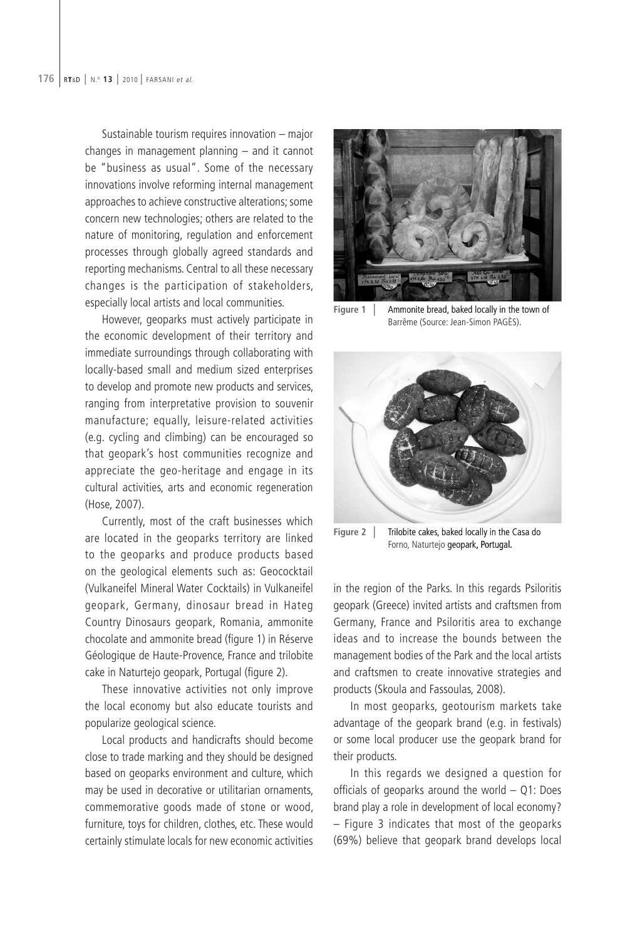Sustainable tourism requires innovation – major changes in management planning – and it cannot be "business as usual". Some of the necessary innovations involve reforming internal management approaches to achieve constructive alterations; some concern new technologies; others are related to the nature of monitoring, regulation and enforcement processes through globally agreed standards and reporting mechanisms. Central to all these necessary changes is the participation of stakeholders, especially local artists and local communities.

However, geoparks must actively participate in the economic development of their territory and immediate surroundings through collaborating with locally-based small and medium sized enterprises to develop and promote new products and services, ranging from interpretative provision to souvenir manufacture; equally, leisure-related activities (e.g. cycling and climbing) can be encouraged so that geopark's host communities recognize and appreciate the geo-heritage and engage in its cultural activities, arts and economic regeneration (Hose, 2007).

Currently, most of the craft businesses which are located in the geoparks territory are linked to the geoparks and produce products based on the geological elements such as: Geococktail (Vulkaneifel Mineral Water Cocktails) in Vulkaneifel geopark, Germany, dinosaur bread in Hateg Country Dinosaurs geopark, Romania, ammonite chocolate and ammonite bread (figure 1) in Réserve Géologique de Haute-Provence, France and trilobite cake in Naturtejo geopark, Portugal (figure 2).

These innovative activities not only improve the local economy but also educate tourists and popularize geological science.

Local products and handicrafts should become close to trade marking and they should be designed based on geoparks environment and culture, which may be used in decorative or utilitarian ornaments, commemorative goods made of stone or wood, furniture, toys for children, clothes, etc. These would certainly stimulate locals for new economic activities



**Figure 1** | Ammonite bread, baked locally in the town of Barrême (Source: Jean-Simon PAGÈS)



Figure 2 | Trilobite cakes, baked locally in the Casa do Forno, Naturtejo geopark, Portugal

in the region of the Parks. In this regards Psiloritis geopark (Greece) invited artists and craftsmen from Germany, France and Psiloritis area to exchange ideas and to increase the bounds between the management bodies of the Park and the local artists and craftsmen to create innovative strategies and products (Skoula and Fassoulas, 2008).

In most geoparks, geotourism markets take advantage of the geopark brand (e.g. in festivals) or some local producer use the geopark brand for their products.

In this regards we designed a question for officials of geoparks around the world  $-$  Q1: Does brand play a role in development of local economy? – Figure 3 indicates that most of the geoparks (69%) believe that geopark brand develops local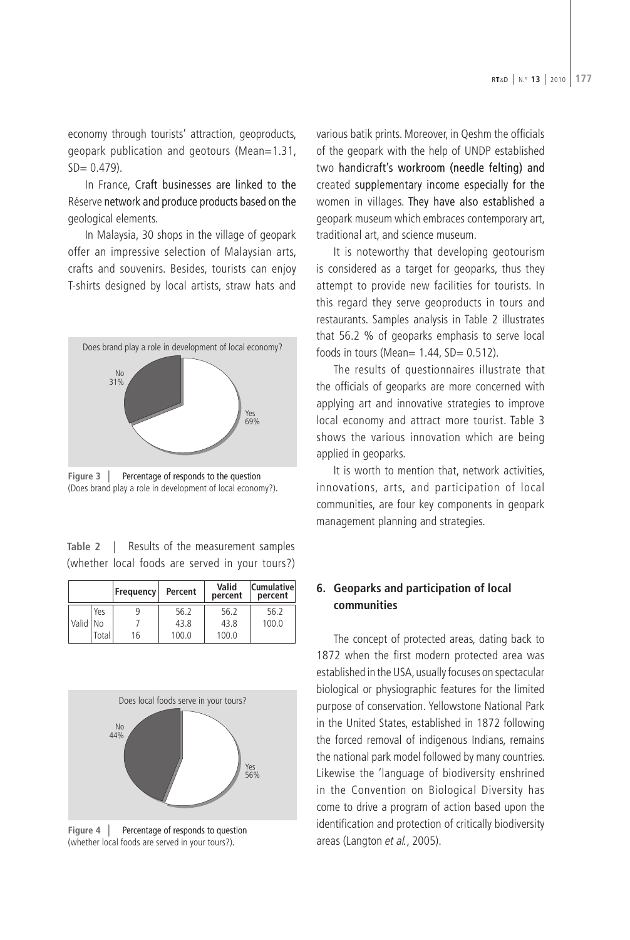economy through tourists' attraction, geoproducts, geopark publication and geotours (Mean=1.31,  $SD = 0.479$ ).

In France, Craft businesses are linked to the Réserve network and produce products based on the geological elements.

In Malaysia, 30 shops in the village of geopark offer an impressive selection of Malaysian arts, crafts and souvenirs. Besides, tourists can enjoy T-shirts designed by local artists, straw hats and



**Figure 3** | Percentage of responds to the question (Does brand play a role in development of local economy?)

| Table 2   Results of the measurement samples    |  |  |  |  |
|-------------------------------------------------|--|--|--|--|
| (whether local foods are served in your tours?) |  |  |  |  |

|          |       | Frequency | Percent | Valid<br>percent | <b>Cumulativel</b><br>percent |
|----------|-------|-----------|---------|------------------|-------------------------------|
|          | Yes   |           | 56.2    | 56.2             | 56.2                          |
| Valid No |       |           | 43.8    | 43.8             | 100.0                         |
|          | Total | 16        | 100.0   | 100.0            |                               |



**Figure 4** | Percentage of responds to question (whether local foods are served in your tours?)

various batik prints. Moreover, in Qeshm the officials of the geopark with the help of UNDP established two handicraft's workroom (needle felting) and created supplementary income especially for the women in villages. They have also established a geopark museum which embraces contemporary art, traditional art, and science museum.

It is noteworthy that developing geotourism is considered as a target for geoparks, thus they attempt to provide new facilities for tourists. In this regard they serve geoproducts in tours and restaurants. Samples analysis in Table 2 illustrates that 56.2 % of geoparks emphasis to serve local foods in tours (Mean=  $1.44$ , SD=  $0.512$ ).

The results of questionnaires illustrate that the officials of geoparks are more concerned with applying art and innovative strategies to improve local economy and attract more tourist. Table 3 shows the various innovation which are being applied in geoparks.

It is worth to mention that, network activities, innovations, arts, and participation of local communities, are four key components in geopark management planning and strategies.

# **6. Geoparks and participation of local communities**

The concept of protected areas, dating back to 1872 when the first modern protected area was established in the USA, usually focuses on spectacular biological or physiographic features for the limited purpose of conservation. Yellowstone National Park in the United States, established in 1872 following the forced removal of indigenous Indians, remains the national park model followed by many countries. Likewise the 'language of biodiversity enshrined in the Convention on Biological Diversity has come to drive a program of action based upon the identification and protection of critically biodiversity areas (Langton et al., 2005).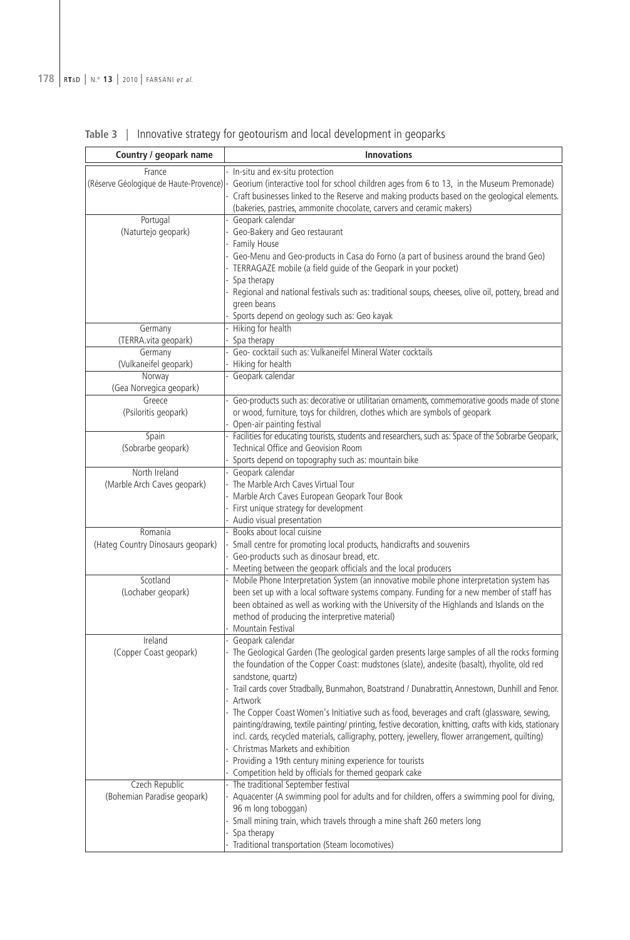| Country / geopark name            | <b>Innovations</b>                                                                                                                                                                                                                                                                                         |
|-----------------------------------|------------------------------------------------------------------------------------------------------------------------------------------------------------------------------------------------------------------------------------------------------------------------------------------------------------|
| France                            | In-situ and ex-situ protection                                                                                                                                                                                                                                                                             |
|                                   | (Réserve Géologique de Haute-Provence) - Georium (interactive tool for school children ages from 6 to 13, in the Museum Premonade)<br>Craft businesses linked to the Reserve and making products based on the geological elements.<br>(bakeries, pastries, ammonite chocolate, carvers and ceramic makers) |
| Portugal                          | Geopark calendar                                                                                                                                                                                                                                                                                           |
| (Naturtejo geopark)               | Geo-Bakery and Geo restaurant                                                                                                                                                                                                                                                                              |
|                                   | Family House                                                                                                                                                                                                                                                                                               |
|                                   | Geo-Menu and Geo-products in Casa do Forno (a part of business around the brand Geo)                                                                                                                                                                                                                       |
|                                   | TERRAGAZE mobile (a field guide of the Geopark in your pocket)                                                                                                                                                                                                                                             |
|                                   | Spa therapy                                                                                                                                                                                                                                                                                                |
|                                   | Regional and national festivals such as: traditional soups, cheeses, olive oil, pottery, bread and<br>green beans                                                                                                                                                                                          |
|                                   | Sports depend on geology such as: Geo kayak                                                                                                                                                                                                                                                                |
| Germany                           | Hiking for health                                                                                                                                                                                                                                                                                          |
| (TERRA.vita geopark)              | Spa therapy                                                                                                                                                                                                                                                                                                |
| Germany                           | Geo- cocktail such as: Vulkaneifel Mineral Water cocktails                                                                                                                                                                                                                                                 |
| (Vulkaneifel geopark)             | Hiking for health                                                                                                                                                                                                                                                                                          |
| Norway                            | Geopark calendar                                                                                                                                                                                                                                                                                           |
| (Gea Norvegica geopark)           |                                                                                                                                                                                                                                                                                                            |
| Greece                            | Geo-products such as: decorative or utilitarian ornaments, commemorative goods made of stone                                                                                                                                                                                                               |
| (Psiloritis geopark)              | or wood, furniture, toys for children, clothes which are symbols of geopark                                                                                                                                                                                                                                |
|                                   | Open-air painting festival                                                                                                                                                                                                                                                                                 |
| Spain                             | Facilities for educating tourists, students and researchers, such as: Space of the Sobrarbe Geopark,                                                                                                                                                                                                       |
| (Sobrarbe geopark)                | Technical Office and Geovision Room                                                                                                                                                                                                                                                                        |
|                                   | Sports depend on topography such as: mountain bike                                                                                                                                                                                                                                                         |
| North Ireland                     | Geopark calendar                                                                                                                                                                                                                                                                                           |
| (Marble Arch Caves geopark)       | The Marble Arch Caves Virtual Tour                                                                                                                                                                                                                                                                         |
|                                   | Marble Arch Caves European Geopark Tour Book                                                                                                                                                                                                                                                               |
|                                   | First unique strategy for development                                                                                                                                                                                                                                                                      |
|                                   | Audio visual presentation                                                                                                                                                                                                                                                                                  |
| Romania                           | Books about local cuisine                                                                                                                                                                                                                                                                                  |
| (Hateg Country Dinosaurs geopark) | Small centre for promoting local products, handicrafts and souvenirs                                                                                                                                                                                                                                       |
|                                   | Geo-products such as dinosaur bread, etc.                                                                                                                                                                                                                                                                  |
|                                   | Meeting between the geopark officials and the local producers                                                                                                                                                                                                                                              |
| Scotland                          | Mobile Phone Interpretation System (an innovative mobile phone interpretation system has                                                                                                                                                                                                                   |
| (Lochaber geopark)                | been set up with a local software systems company. Funding for a new member of staff has                                                                                                                                                                                                                   |
|                                   | been obtained as well as working with the University of the Highlands and Islands on the                                                                                                                                                                                                                   |
|                                   | method of producing the interpretive material)                                                                                                                                                                                                                                                             |
|                                   | Mountain Festival                                                                                                                                                                                                                                                                                          |
| Ireland                           | Geopark calendar                                                                                                                                                                                                                                                                                           |
| (Copper Coast geopark)            | The Geological Garden (The geological garden presents large samples of all the rocks forming                                                                                                                                                                                                               |
|                                   | the foundation of the Copper Coast: mudstones (slate), andesite (basalt), rhyolite, old red                                                                                                                                                                                                                |
|                                   | sandstone, quartz)                                                                                                                                                                                                                                                                                         |
|                                   | Trail cards cover Stradbally, Bunmahon, Boatstrand / Dunabrattin, Annestown, Dunhill and Fenor.                                                                                                                                                                                                            |
|                                   | Artwork                                                                                                                                                                                                                                                                                                    |
|                                   | The Copper Coast Women's Initiative such as food, beverages and craft (glassware, sewing,                                                                                                                                                                                                                  |
|                                   | painting/drawing, textile painting/ printing, festive decoration, knitting, crafts with kids, stationary                                                                                                                                                                                                   |
|                                   | incl. cards, recycled materials, calligraphy, pottery, jewellery, flower arrangement, quilting)                                                                                                                                                                                                            |
|                                   | - Christmas Markets and exhibition                                                                                                                                                                                                                                                                         |
|                                   | Providing a 19th century mining experience for tourists                                                                                                                                                                                                                                                    |
|                                   | - Competition held by officials for themed geopark cake                                                                                                                                                                                                                                                    |
| Czech Republic                    | The traditional September festival                                                                                                                                                                                                                                                                         |
| (Bohemian Paradise geopark)       | Aquacenter (A swimming pool for adults and for children, offers a swimming pool for diving,                                                                                                                                                                                                                |
|                                   | 96 m long toboggan)                                                                                                                                                                                                                                                                                        |
|                                   | Small mining train, which travels through a mine shaft 260 meters long                                                                                                                                                                                                                                     |
|                                   | Spa therapy                                                                                                                                                                                                                                                                                                |
|                                   | Traditional transportation (Steam locomotives)                                                                                                                                                                                                                                                             |
|                                   |                                                                                                                                                                                                                                                                                                            |

**Table 3** | Innovative strategy for geotourism and local development in geoparks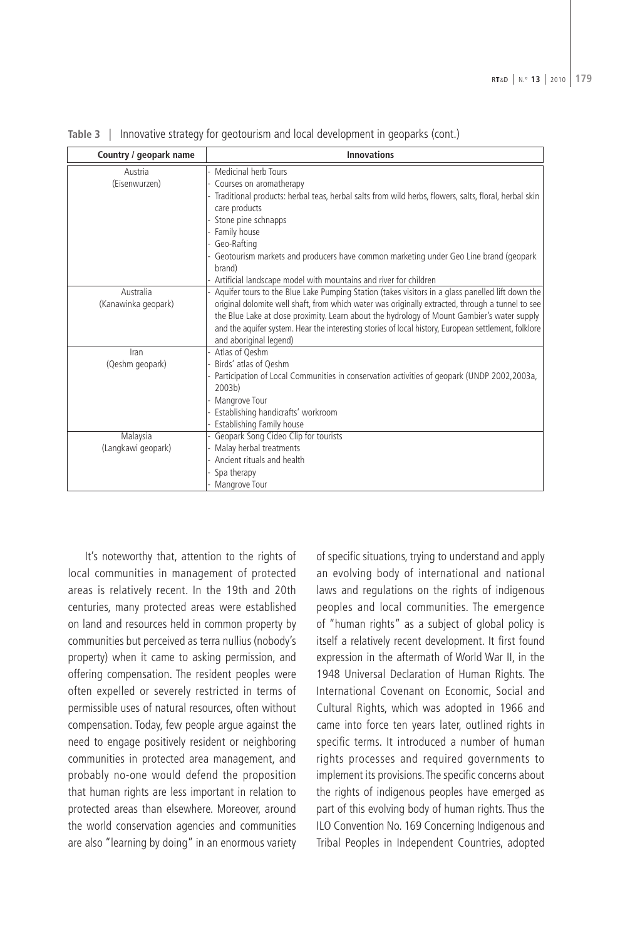| Country / geopark name | <b>Innovations</b>                                                                                   |
|------------------------|------------------------------------------------------------------------------------------------------|
| Austria                | Medicinal herb Tours                                                                                 |
| (Eisenwurzen)          | Courses on aromatherapy                                                                              |
|                        | Traditional products: herbal teas, herbal salts from wild herbs, flowers, salts, floral, herbal skin |
|                        | care products                                                                                        |
|                        | Stone pine schnapps                                                                                  |
|                        | Family house                                                                                         |
|                        | Geo-Rafting                                                                                          |
|                        | Geotourism markets and producers have common marketing under Geo Line brand (geopark<br>brand)       |
|                        | Artificial landscape model with mountains and river for children                                     |
| Australia              | Aquifer tours to the Blue Lake Pumping Station (takes visitors in a glass panelled lift down the     |
| (Kanawinka geopark)    | original dolomite well shaft, from which water was originally extracted, through a tunnel to see     |
|                        | the Blue Lake at close proximity. Learn about the hydrology of Mount Gambier's water supply          |
|                        | and the aquifer system. Hear the interesting stories of local history, European settlement, folklore |
|                        | and aboriginal legend)                                                                               |
| Iran                   | Atlas of Qeshm                                                                                       |
| (Qeshm geopark)        | Birds' atlas of Oeshm                                                                                |
|                        | Participation of Local Communities in conservation activities of geopark (UNDP 2002,2003a,           |
|                        | 2003b)                                                                                               |
|                        | Mangrove Tour                                                                                        |
|                        | - Establishing handicrafts' workroom                                                                 |
|                        | Establishing Family house                                                                            |
| Malaysia               | Geopark Song Cideo Clip for tourists                                                                 |
| (Langkawi geopark)     | Malay herbal treatments                                                                              |
|                        | Ancient rituals and health                                                                           |
|                        | Spa therapy                                                                                          |
|                        | Mangrove Tour                                                                                        |

**Table 3** | Innovative strategy for geotourism and local development in geoparks (cont.)

It's noteworthy that, attention to the rights of local communities in management of protected areas is relatively recent. In the 19th and 20th centuries, many protected areas were established on land and resources held in common property by communities but perceived as terra nullius (nobody's property) when it came to asking permission, and offering compensation. The resident peoples were often expelled or severely restricted in terms of permissible uses of natural resources, often without compensation. Today, few people argue against the need to engage positively resident or neighboring communities in protected area management, and probably no-one would defend the proposition that human rights are less important in relation to protected areas than elsewhere. Moreover, around the world conservation agencies and communities are also "learning by doing" in an enormous variety

of specific situations, trying to understand and apply an evolving body of international and national laws and regulations on the rights of indigenous peoples and local communities. The emergence of "human rights" as a subject of global policy is itself a relatively recent development. It first found expression in the aftermath of World War II, in the 1948 Universal Declaration of Human Rights. The International Covenant on Economic, Social and Cultural Rights, which was adopted in 1966 and came into force ten years later, outlined rights in specific terms. It introduced a number of human rights processes and required governments to implement its provisions. The specific concerns about the rights of indigenous peoples have emerged as part of this evolving body of human rights. Thus the ILO Convention No. 169 Concerning Indigenous and Tribal Peoples in Independent Countries, adopted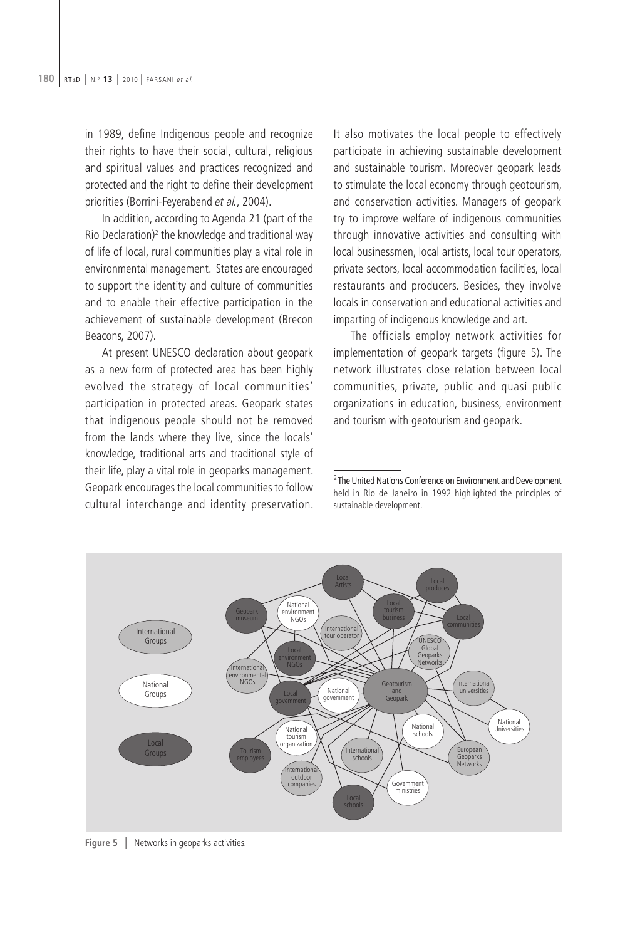in 1989, define Indigenous people and recognize their rights to have their social, cultural, religious and spiritual values and practices recognized and protected and the right to define their development priorities (Borrini-Feyerabend et al., 2004).

In addition, according to Agenda 21 (part of the Rio Declaration)2 the knowledge and traditional way of life of local, rural communities play a vital role in environmental management. States are encouraged to support the identity and culture of communities and to enable their effective participation in the achievement of sustainable development (Brecon Beacons, 2007).

At present UNESCO declaration about geopark as a new form of protected area has been highly evolved the strategy of local communities' participation in protected areas. Geopark states that indigenous people should not be removed from the lands where they live, since the locals' knowledge, traditional arts and traditional style of their life, play a vital role in geoparks management. Geopark encourages the local communities to follow cultural interchange and identity preservation. It also motivates the local people to effectively participate in achieving sustainable development and sustainable tourism. Moreover geopark leads to stimulate the local economy through geotourism, and conservation activities. Managers of geopark try to improve welfare of indigenous communities through innovative activities and consulting with local businessmen, local artists, local tour operators, private sectors, local accommodation facilities, local restaurants and producers. Besides, they involve locals in conservation and educational activities and imparting of indigenous knowledge and art.

The officials employ network activities for implementation of geopark targets (figure 5). The network illustrates close relation between local communities, private, public and quasi public organizations in education, business, environment and tourism with geotourism and geopark.

 $2$  The United Nations Conference on Environment and Development held in Rio de Janeiro in 1992 highlighted the principles of sustainable development



**Figure 5** | Networks in geoparks activities.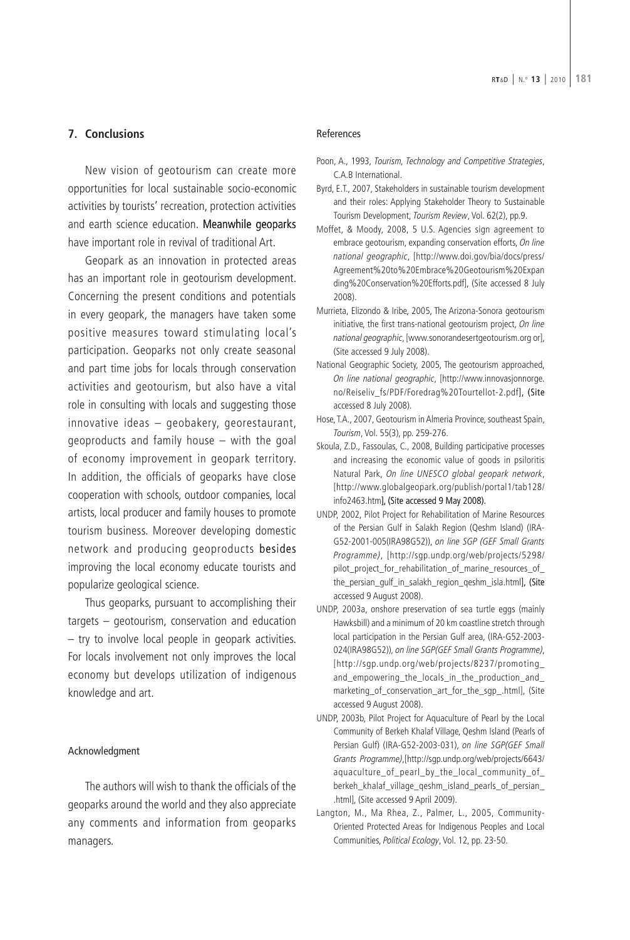## **7. Conclusions**

New vision of geotourism can create more opportunities for local sustainable socio-economic activities by tourists' recreation, protection activities and earth science education. Meanwhile geoparks have important role in revival of traditional Art.

Geopark as an innovation in protected areas has an important role in geotourism development. Concerning the present conditions and potentials in every geopark, the managers have taken some positive measures toward stimulating local's participation. Geoparks not only create seasonal and part time jobs for locals through conservation activities and geotourism, but also have a vital role in consulting with locals and suggesting those innovative ideas – geobakery, georestaurant, geoproducts and family house – with the goal of economy improvement in geopark territory. In addition, the officials of geoparks have close cooperation with schools, outdoor companies, local artists, local producer and family houses to promote tourism business. Moreover developing domestic network and producing geoproducts besides improving the local economy educate tourists and popularize geological science.

Thus geoparks, pursuant to accomplishing their targets – geotourism, conservation and education – try to involve local people in geopark activities. For locals involvement not only improves the local economy but develops utilization of indigenous knowledge and art.

#### Acknowledgment

The authors will wish to thank the officials of the geoparks around the world and they also appreciate any comments and information from geoparks managers.

#### References

- Poon, A., 1993, Tourism, Technology and Competitive Strategies, C.A.B International.
- Byrd, E.T., 2007, Stakeholders in sustainable tourism development and their roles: Applying Stakeholder Theory to Sustainable Tourism Development, Tourism Review, Vol. 62(2), pp.9.
- Moffet, & Moody, 2008, 5 U.S. Agencies sign agreement to embrace geotourism, expanding conservation efforts, On line national geographic, [http://www.doi.gov/bia/docs/press/ Agreement%20to%20Embrace%20Geotourism%20Expan ding%20Conservation%20Efforts.pdf], (Site accessed 8 July 2008).
- Murrieta, Elizondo & Iribe, 2005, The Arizona-Sonora geotourism initiative, the first trans-national geotourism project, On line national geographic, [www.sonorandesertgeotourism.org or], (Site accessed 9 July 2008).
- National Geographic Society, 2005, The geotourism approached, On line national geographic, [http://www.innovasjonnorge. no/Reiseliv\_fs/PDF/Foredrag%20Tourtellot-2.pdf], (Site accessed 8 July 2008).
- Hose, T.A., 2007, Geotourism in Almeria Province, southeast Spain, Tourism, Vol. 55(3), pp. 259-276.
- Skoula, Z.D., Fassoulas, C., 2008, Building participative processes and increasing the economic value of goods in psiloritis Natural Park, On line UNESCO global geopark network, [http://www.globalgeopark.org/publish/portal1/tab128/ info2463.htm], (Site accessed 9 May 2008).
- UNDP, 2002, Pilot Project for Rehabilitation of Marine Resources of the Persian Gulf in Salakh Region (Qeshm Island) (IRA-G52-2001-005(IRA98G52)), on line SGP (GEF Small Grants Programme), [http://sgp.undp.org/web/projects/5298/ pilot project for rehabilitation of marine resources of the\_persian\_gulf\_in\_salakh\_region\_qeshm\_isla.html], (Site accessed 9 August 2008).
- UNDP, 2003a, onshore preservation of sea turtle eggs (mainly Hawksbill) and a minimum of 20 km coastline stretch through local participation in the Persian Gulf area, (IRA-G52-2003- 024(IRA98G52)), on line SGP(GEF Small Grants Programme), [http://sgp.undp.org/web/projects/8237/promoting\_ and\_empowering\_the\_locals\_in\_the\_production\_and\_ marketing\_of\_conservation\_art\_for\_the\_sgp\_.html], (Site accessed 9 August 2008).
- UNDP, 2003b, Pilot Project for Aquaculture of Pearl by the Local Community of Berkeh Khalaf Village, Qeshm Island (Pearls of Persian Gulf) (IRA-G52-2003-031), on line SGP(GEF Small Grants Programme),[http://sgp.undp.org/web/projects/6643/ aquaculture\_of\_pearl\_by\_the\_local\_community\_of\_ berkeh\_khalaf\_village\_qeshm\_island\_pearls\_of\_persian\_ .html], (Site accessed 9 April 2009).
- Langton, M., Ma Rhea, Z., Palmer, L., 2005, Community-Oriented Protected Areas for Indigenous Peoples and Local Communities, Political Ecology, Vol. 12, pp. 23-50.